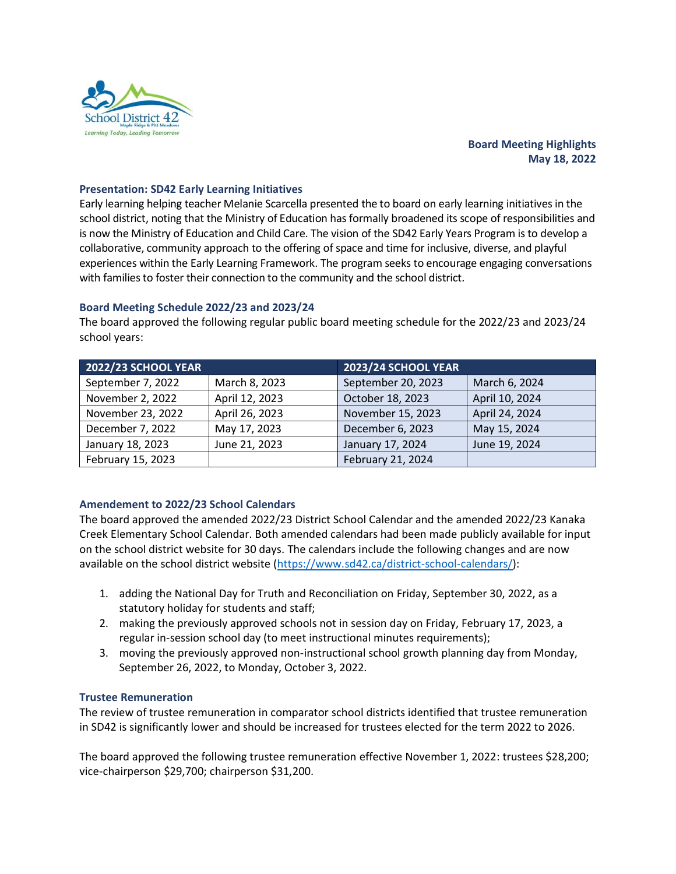

# **Board Meeting Highlights May 18, 2022**

## **Presentation: SD42 Early Learning Initiatives**

Early learning helping teacher Melanie Scarcella presented the to board on early learning initiatives in the school district, noting that the Ministry of Education has formally broadened its scope of responsibilities and is now the Ministry of Education and Child Care. The vision of the SD42 Early Years Program is to develop a collaborative, community approach to the offering of space and time for inclusive, diverse, and playful experiences within the Early Learning Framework. The program seeks to encourage engaging conversations with families to foster their connection to the community and the school district.

## **Board Meeting Schedule 2022/23 and 2023/24**

The board approved the following regular public board meeting schedule for the 2022/23 and 2023/24 school years:

| 2022/23 SCHOOL YEAR |                | 2023/24 SCHOOL YEAR |                |
|---------------------|----------------|---------------------|----------------|
| September 7, 2022   | March 8, 2023  | September 20, 2023  | March 6, 2024  |
| November 2, 2022    | April 12, 2023 | October 18, 2023    | April 10, 2024 |
| November 23, 2022   | April 26, 2023 | November 15, 2023   | April 24, 2024 |
| December 7, 2022    | May 17, 2023   | December 6, 2023    | May 15, 2024   |
| January 18, 2023    | June 21, 2023  | January 17, 2024    | June 19, 2024  |
| February 15, 2023   |                | February 21, 2024   |                |

# **Amendement to 2022/23 School Calendars**

The board approved the amended 2022/23 District School Calendar and the amended 2022/23 Kanaka Creek Elementary School Calendar. Both amended calendars had been made publicly available for input on the school district website for 30 days. The calendars include the following changes and are now available on the school district website [\(https://www.sd42.ca/district-school-calendars/\)](https://www.sd42.ca/district-school-calendars/):

- 1. adding the National Day for Truth and Reconciliation on Friday, September 30, 2022, as a statutory holiday for students and staff;
- 2. making the previously approved schools not in session day on Friday, February 17, 2023, a regular in-session school day (to meet instructional minutes requirements);
- 3. moving the previously approved non-instructional school growth planning day from Monday, September 26, 2022, to Monday, October 3, 2022.

## **Trustee Remuneration**

The review of trustee remuneration in comparator school districts identified that trustee remuneration in SD42 is significantly lower and should be increased for trustees elected for the term 2022 to 2026.

The board approved the following trustee remuneration effective November 1, 2022: trustees \$28,200; vice-chairperson \$29,700; chairperson \$31,200.